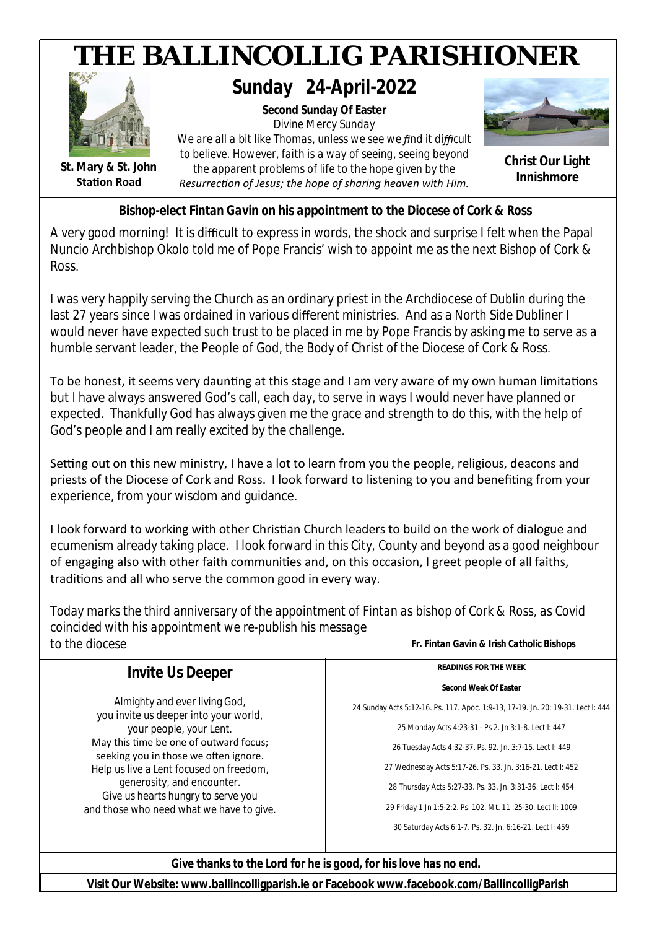

*Bishop-elect Fintan Gavin on his appointment to the Diocese of Cork & Ross*

A very good morning! It is difficult to express in words, the shock and surprise I felt when the Papal Nuncio Archbishop Okolo told me of Pope Francis' wish to appoint me as the next Bishop of Cork & Ross.

I was very happily serving the Church as an ordinary priest in the Archdiocese of Dublin during the last 27 years since I was ordained in various different ministries. And as a North Side Dubliner I would never have expected such trust to be placed in me by Pope Francis by asking me to serve as a humble servant leader, the People of God, the Body of Christ of the Diocese of Cork & Ross.

To be honest, it seems very daunting at this stage and I am very aware of my own human limitations but I have always answered God's call, each day, to serve in ways I would never have planned or expected. Thankfully God has always given me the grace and strength to do this, with the help of God's people and I am really excited by the challenge.

Setting out on this new ministry, I have a lot to learn from you the people, religious, deacons and priests of the Diocese of Cork and Ross. I look forward to listening to you and benefiting from your experience, from your wisdom and guidance.

I look forward to working with other Christian Church leaders to build on the work of dialogue and ecumenism already taking place. I look forward in this City, County and beyond as a good neighbour of engaging also with other faith communities and, on this occasion, I greet people of all faiths, traditions and all who serve the common good in every way.

*Today marks the third anniversary of the appointment of Fintan as bishop of Cork & Ross, as Covid coincided with his appointment we re-publish his message to the diocese Fr. Fintan Gavin & Irish Catholic Bishops*

| <i>Invite Us Deeper</i>                                                         | READINGS FOR THE WEEK                                                            |
|---------------------------------------------------------------------------------|----------------------------------------------------------------------------------|
|                                                                                 | Second Week Of Easter                                                            |
| Almighty and ever living God,<br>you invite us deeper into your world,          | 24 Sunday Acts 5:12-16. Ps. 117. Apoc. 1:9-13, 17-19. Jn. 20: 19-31. Lect I: 444 |
| your people, your Lent.                                                         | 25 Monday Acts 4:23-31 - Ps 2. Jn 3:1-8. Lect I: 447                             |
| May this time be one of outward focus;<br>seeking you in those we often ignore. | 26 Tuesday Acts 4:32-37. Ps. 92. Jn. 3:7-15. Lect I: 449                         |
| Help us live a Lent focused on freedom,                                         | 27 Wednesday Acts 5:17-26. Ps. 33. Jn. 3:16-21. Lect I: 452                      |
| generosity, and encounter.<br>Give us hearts hungry to serve you                | 28 Thursday Acts 5:27-33. Ps. 33. Jn. 3:31-36. Lect I: 454                       |
| and those who need what we have to give.                                        | 29 Friday 1 Jn 1:5-2:2. Ps. 102. Mt. 11 :25-30. Lect II: 1009                    |
|                                                                                 | 30 Saturday Acts 6:1-7. Ps. 32. Jn. 6:16-21. Lect I: 459                         |

*Give thanks to the Lord for he is good, for his love has no end.*

**Visit Our Website: www.ballincolligparish.ie or Facebook www.facebook.com/BallincolligParish**